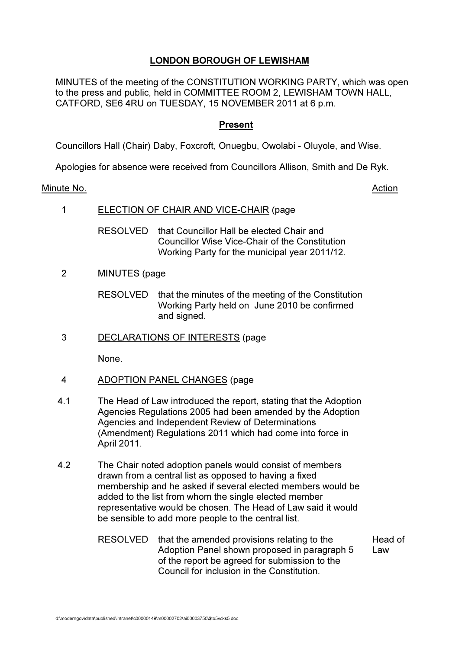# LONDON BOROUGH OF LEWISHAM

MINUTES of the meeting of the CONSTITUTION WORKING PARTY, which was open to the press and public, held in COMMITTEE ROOM 2, LEWISHAM TOWN HALL, CATFORD, SE6 4RU on TUESDAY, 15 NOVEMBER 2011 at 6 p.m.

## Present

Councillors Hall (Chair) Daby, Foxcroft, Onuegbu, Owolabi - Oluyole, and Wise.

Apologies for absence were received from Councillors Allison, Smith and De Ryk.

#### Minute No. **Action**

1 ELECTION OF CHAIR AND VICE-CHAIR (page

RESOLVED that Councillor Hall be elected Chair and Councillor Wise Vice-Chair of the Constitution Working Party for the municipal year 2011/12.

2 MINUTES (page

RESOLVED that the minutes of the meeting of the Constitution Working Party held on June 2010 be confirmed and signed.

3 DECLARATIONS OF INTERESTS (page

None.

- 4 ADOPTION PANEL CHANGES (page
- 4.1 The Head of Law introduced the report, stating that the Adoption Agencies Regulations 2005 had been amended by the Adoption Agencies and Independent Review of Determinations (Amendment) Regulations 2011 which had come into force in April 2011.
- 4.2 The Chair noted adoption panels would consist of members drawn from a central list as opposed to having a fixed membership and he asked if several elected members would be added to the list from whom the single elected member representative would be chosen. The Head of Law said it would be sensible to add more people to the central list.
	- RESOLVED that the amended provisions relating to the Adoption Panel shown proposed in paragraph 5 of the report be agreed for submission to the Council for inclusion in the Constitution. Head of Law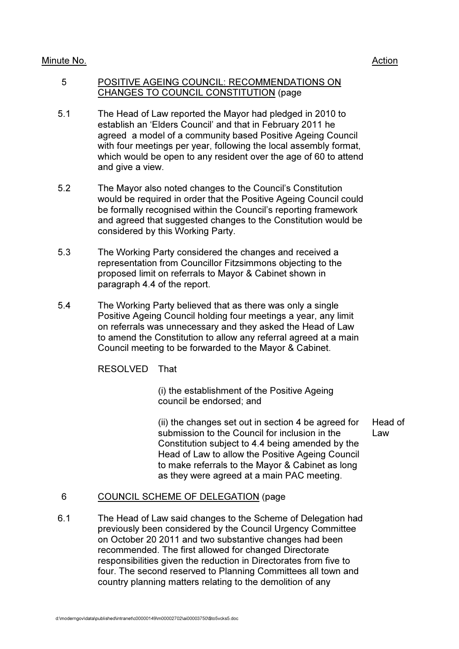## Minute No. 2008 2012 2022 2023 2024 2022 2022 2023 2024 2022 2023 2024 2022 2023 2024 2022 2023 2024 2022 2023

#### 5 POSITIVE AGEING COUNCIL: RECOMMENDATIONS ON CHANGES TO COUNCIL CONSTITUTION (page

- 5.1 The Head of Law reported the Mayor had pledged in 2010 to establish an 'Elders Council' and that in February 2011 he agreed a model of a community based Positive Ageing Council with four meetings per year, following the local assembly format, which would be open to any resident over the age of 60 to attend and give a view.
- 5.2 The Mayor also noted changes to the Council's Constitution would be required in order that the Positive Ageing Council could be formally recognised within the Council's reporting framework and agreed that suggested changes to the Constitution would be considered by this Working Party.
- 5.3 The Working Party considered the changes and received a representation from Councillor Fitzsimmons objecting to the proposed limit on referrals to Mayor & Cabinet shown in paragraph 4.4 of the report.
- 5.4 The Working Party believed that as there was only a single Positive Ageing Council holding four meetings a year, any limit on referrals was unnecessary and they asked the Head of Law to amend the Constitution to allow any referral agreed at a main Council meeting to be forwarded to the Mayor & Cabinet.

RESOLVED That

 (i) the establishment of the Positive Ageing council be endorsed; and

 (ii) the changes set out in section 4 be agreed for submission to the Council for inclusion in the Constitution subject to 4.4 being amended by the Head of Law to allow the Positive Ageing Council to make referrals to the Mayor & Cabinet as long as they were agreed at a main PAC meeting. Head of Law

6 COUNCIL SCHEME OF DELEGATION (page

6.1 The Head of Law said changes to the Scheme of Delegation had previously been considered by the Council Urgency Committee on October 20 2011 and two substantive changes had been recommended. The first allowed for changed Directorate responsibilities given the reduction in Directorates from five to four. The second reserved to Planning Committees all town and country planning matters relating to the demolition of any

d:\moderngov\data\published\intranet\c00000149\m00002702\ai00003750\\$to5vcks5.doc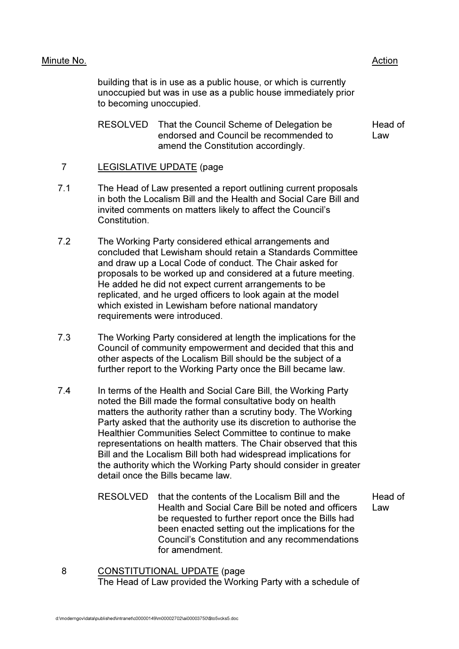## Minute No. 2008 2012 2022 2023 2024 2022 2022 2023 2024 2022 2023 2024 2022 2023 2024 2022 2023 2024 2022 2023

building that is in use as a public house, or which is currently unoccupied but was in use as a public house immediately prior to becoming unoccupied.

 RESOLVED That the Council Scheme of Delegation be endorsed and Council be recommended to amend the Constitution accordingly. Head of Law

## 7 LEGISLATIVE UPDATE (page

- 7.1 The Head of Law presented a report outlining current proposals in both the Localism Bill and the Health and Social Care Bill and invited comments on matters likely to affect the Council's Constitution.
- 7.2 The Working Party considered ethical arrangements and concluded that Lewisham should retain a Standards Committee and draw up a Local Code of conduct. The Chair asked for proposals to be worked up and considered at a future meeting. He added he did not expect current arrangements to be replicated, and he urged officers to look again at the model which existed in Lewisham before national mandatory requirements were introduced.
- 7.3 The Working Party considered at length the implications for the Council of community empowerment and decided that this and other aspects of the Localism Bill should be the subject of a further report to the Working Party once the Bill became law.
- 7.4 In terms of the Health and Social Care Bill, the Working Party noted the Bill made the formal consultative body on health matters the authority rather than a scrutiny body. The Working Party asked that the authority use its discretion to authorise the Healthier Communities Select Committee to continue to make representations on health matters. The Chair observed that this Bill and the Localism Bill both had widespread implications for the authority which the Working Party should consider in greater detail once the Bills became law.
	- RESOLVED that the contents of the Localism Bill and the Health and Social Care Bill be noted and officers be requested to further report once the Bills had been enacted setting out the implications for the Council's Constitution and any recommendations for amendment.

Head of Law

8 CONSTITUTIONAL UPDATE (page The Head of Law provided the Working Party with a schedule of